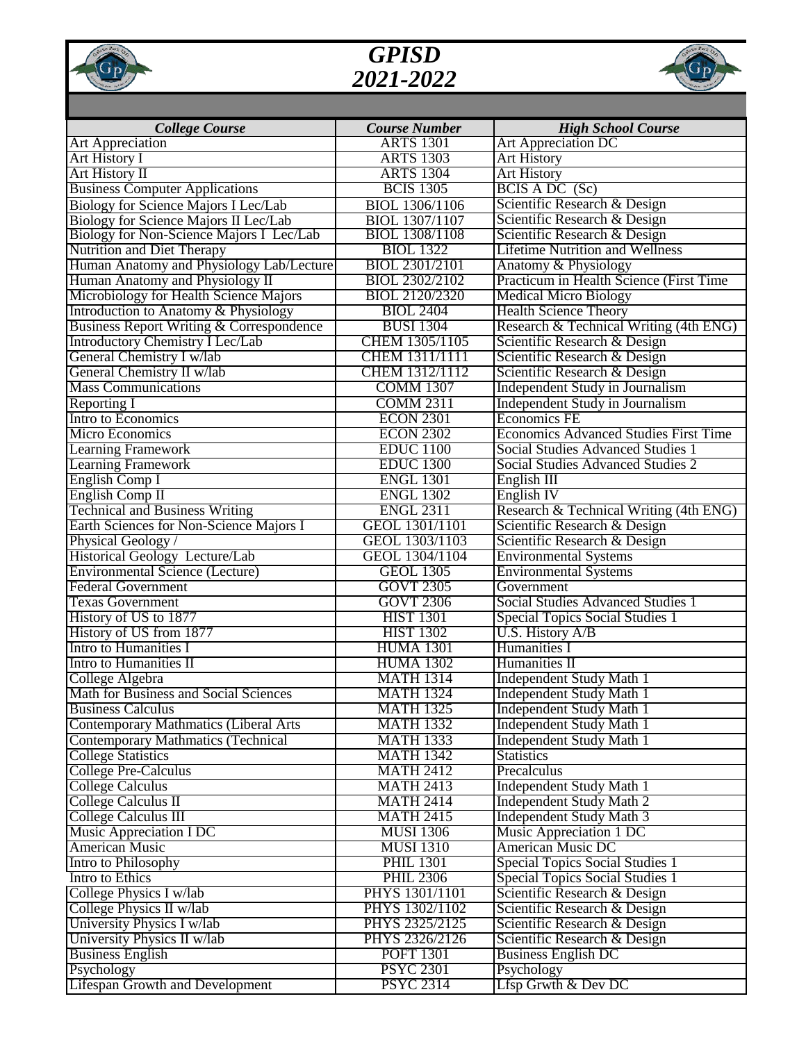

## *GPISD 2021-2022*



|                                                                             | <b>Course Number</b>                    |                                                                        |
|-----------------------------------------------------------------------------|-----------------------------------------|------------------------------------------------------------------------|
| <b>College Course</b><br><b>Art Appreciation</b>                            | <b>ARTS 1301</b>                        | <b>High School Course</b><br>Art Appreciation DC                       |
| <b>Art History I</b>                                                        | <b>ARTS 1303</b>                        | <b>Art History</b>                                                     |
| <b>Art History II</b>                                                       | <b>ARTS 1304</b>                        | <b>Art History</b>                                                     |
| <b>Business Computer Applications</b>                                       | <b>BCIS 1305</b>                        | BCIS A DC (Sc)                                                         |
|                                                                             |                                         | Scientific Research & Design                                           |
| Biology for Science Majors I Lec/Lab                                        | BIOL 1306/1106                          |                                                                        |
| Biology for Science Majors II Lec/Lab                                       | BIOL 1307/1107<br><b>BIOL 1308/1108</b> | Scientific Research & Design                                           |
| Biology for Non-Science Majors I Lec/Lab                                    | <b>BIOL</b> 1322                        | Scientific Research & Design<br><b>Lifetime Nutrition and Wellness</b> |
| <b>Nutrition and Diet Therapy</b>                                           | BIOL 2301/2101                          |                                                                        |
| Human Anatomy and Physiology Lab/Lecture<br>Human Anatomy and Physiology II | BIOL 2302/2102                          | Anatomy & Physiology<br>Practicum in Health Science (First Time)       |
|                                                                             |                                         |                                                                        |
| Microbiology for Health Science Majors                                      | BIOL 2120/2320                          | <b>Medical Micro Biology</b>                                           |
| Introduction to Anatomy & Physiology                                        | <b>BIOL 2404</b>                        | <b>Health Science Theory</b>                                           |
| <b>Business Report Writing &amp; Correspondence</b>                         | <b>BUSI 1304</b>                        | Research & Technical Writing (4th ENG)                                 |
| Introductory Chemistry I Lec/Lab                                            | CHEM 1305/1105                          | Scientific Research & Design                                           |
| General Chemistry I w/lab                                                   | CHEM 1311/1111                          | Scientific Research & Design                                           |
| General Chemistry II w/lab                                                  | CHEM 1312/1112                          | Scientific Research & Design                                           |
| <b>Mass Communications</b>                                                  | <b>COMM 1307</b>                        | Independent Study in Journalism                                        |
| <b>Reporting I</b>                                                          | <b>COMM 2311</b>                        | Independent Study in Journalism                                        |
| Intro to Economics                                                          | <b>ECON 2301</b>                        | <b>Economics FE</b>                                                    |
| <b>Micro Economics</b>                                                      | <b>ECON 2302</b>                        | <b>Economics Advanced Studies First Time</b>                           |
| <b>Learning Framework</b>                                                   | <b>EDUC</b> 1100                        | <b>Social Studies Advanced Studies 1</b>                               |
| <b>Learning Framework</b>                                                   | <b>EDUC</b> 1300                        | Social Studies Advanced Studies 2                                      |
| English Comp I                                                              | <b>ENGL 1301</b>                        | English III                                                            |
| English Comp II                                                             | <b>ENGL 1302</b>                        | English IV                                                             |
| <b>Technical and Business Writing</b>                                       | <b>ENGL 2311</b>                        | Research & Technical Writing (4th ENG)                                 |
| Earth Sciences for Non-Science Majors I                                     | GEOL 1301/1101                          | Scientific Research & Design                                           |
| Physical Geology /                                                          | GEOL 1303/1103                          | Scientific Research & Design                                           |
| Historical Geology Lecture/Lab                                              | GEOL 1304/1104                          | <b>Environmental Systems</b>                                           |
| <b>Environmental Science (Lecture)</b>                                      | <b>GEOL 1305</b>                        | <b>Environmental Systems</b>                                           |
| <b>Federal Government</b>                                                   | <b>GOVT 2305</b>                        | Government                                                             |
| <b>Texas Government</b>                                                     | <b>GOVT 2306</b>                        | <b>Social Studies Advanced Studies 1</b>                               |
| History of US to 1877                                                       | <b>HIST 1301</b>                        | <b>Special Topics Social Studies 1</b>                                 |
| History of US from 1877                                                     | <b>HIST 1302</b>                        | U.S. History A/B                                                       |
| <b>Intro to Humanities I</b>                                                | <b>HUMA 1301</b>                        | Humanities I                                                           |
| <b>Intro to Humanities II</b>                                               | <b>HUMA 1302</b>                        | Humanities II                                                          |
| College Algebra                                                             | <b>MATH 1314</b>                        | <b>Independent Study Math 1</b>                                        |
| Math for Business and Social Sciences                                       | <b>MATH 1324</b>                        | <b>Independent Study Math 1</b>                                        |
| <b>Business Calculus</b>                                                    | <b>MATH 1325</b>                        | <b>Independent Study Math 1</b>                                        |
| <b>Contemporary Mathmatics (Liberal Arts</b>                                | <b>MATH 1332</b>                        | <b>Independent Study Math 1</b>                                        |
| <b>Contemporary Mathmatics (Technical</b>                                   | <b>MATH 1333</b>                        | <b>Independent Study Math 1</b>                                        |
| <b>College Statistics</b>                                                   | <b>MATH 1342</b>                        | <b>Statistics</b>                                                      |
| <b>College Pre-Calculus</b>                                                 | <b>MATH 2412</b>                        | Precalculus                                                            |
| <b>College Calculus</b>                                                     | <b>MATH 2413</b>                        | <b>Independent Study Math 1</b>                                        |
| College Calculus II                                                         | <b>MATH 2414</b>                        | Independent Study Math 2                                               |
| College Calculus III                                                        | <b>MATH 2415</b>                        | <b>Independent Study Math 3</b>                                        |
| <b>Music Appreciation I DC</b>                                              | <b>MUSI 1306</b>                        | Music Appreciation 1 DC                                                |
| <b>American Music</b>                                                       | <b>MUSI 1310</b>                        | <b>American Music DC</b>                                               |
| Intro to Philosophy                                                         | <b>PHIL 1301</b>                        | Special Topics Social Studies 1                                        |
| Intro to Ethics                                                             | <b>PHIL 2306</b>                        | <b>Special Topics Social Studies 1</b>                                 |
| College Physics $\bar{I}$ w/lab                                             | PHYS 1301/1101                          | Scientific Research & Design                                           |
| College Physics II w/lab                                                    | PHYS 1302/1102                          | Scientific Research & Design                                           |
| University Physics I w/lab                                                  | PHYS 2325/2125                          | Scientific Research & Design                                           |
| University Physics II w/lab                                                 | PHYS 2326/2126                          | Scientific Research & Design                                           |
| <b>Business English</b>                                                     | <b>POFT 1301</b>                        | <b>Business English DC</b>                                             |
| Psychology                                                                  | <b>PSYC 2301</b>                        | Psychology                                                             |
| <b>Lifespan Growth and Development</b>                                      | <b>PSYC 2314</b>                        | Lfsp Grwth $&$ Dev DC                                                  |